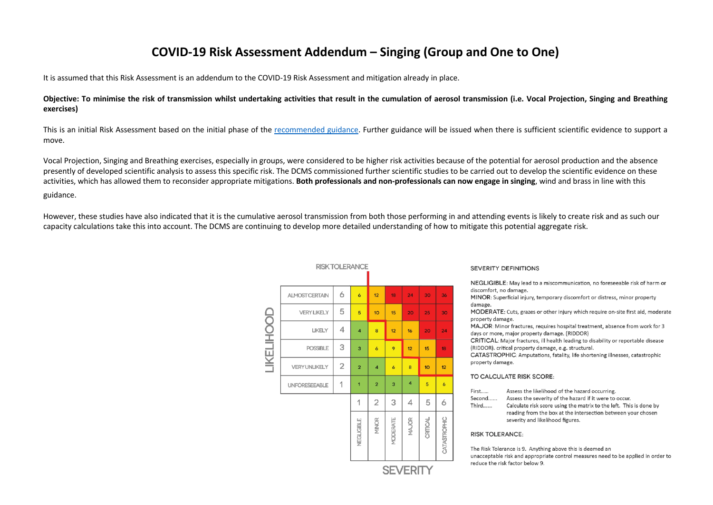## **COVID-19 Risk Assessment Addendum – Singing (Group and One to One)**

It is assumed that this Risk Assessment is an addendum to the COVID-19 Risk Assessment and mitigation already in place.

**Objective: To minimise the risk of transmission whilst undertaking activities that result in the cumulation of aerosol transmission (i.e. Vocal Projection, Singing and Breathing exercises)**

This is an initial Risk Assessment based on the initial phase of the recommended guidance. Further guidance will be issued when there is sufficient scientific evidence to support a move.

Vocal Projection, Singing and Breathing exercises, especially in groups, were considered to be higher risk activities because of the potential for aerosol production and the absence presently of developed scientific analysis to assess this specific risk. The DCMS commissioned further scientific studies to be carried out to develop the scientific evidence on these activities, which has allowed them to reconsider appropriate mitigations. **Both professionals and non-professionals can now engage in singing**, wind and brass in line with this guidance.

However, these studies have also indicated that it is the cumulative aerosol transmission from both those performing in and attending events is likely to create risk and as such our capacity calculations take this into account. The DCMS are continuing to develop more detailed understanding of how to mitigate this potential aggregate risk.

|                          | <b>RISK TOLERANCE</b> |                |                         |                |                     |                |          |                     |  |  |
|--------------------------|-----------------------|----------------|-------------------------|----------------|---------------------|----------------|----------|---------------------|--|--|
| <b><i>LIKELIHOOD</i></b> | <b>ALMOST CERTAIN</b> | 6              | $\ddot{\mathbf{6}}$     | 12             | 18                  | 24             | 30       | 36                  |  |  |
|                          | <b>VERY LIKELY</b>    | 5              | $\overline{5}$          | 10             | 15                  | 20             | 25       | 30                  |  |  |
|                          | LIKELY                | 4              | $\overline{\mathbf{4}}$ | 8              | 12                  | 16             | 20       | 24                  |  |  |
|                          | <b>POSSIBLE</b>       | 3              | 3                       | 6              | 9                   | 12             | 15       | 18                  |  |  |
|                          | <b>VERY UNLIKELY</b>  | $\overline{2}$ | $\overline{2}$          | 4              | $\ddot{\mathbf{6}}$ | 8              | 10       | 12                  |  |  |
|                          | <b>UNFORESEEABLE</b>  | 1              | $\overline{1}$          | $\overline{a}$ | 3                   | $\overline{4}$ | 5        | $\ddot{\mathbf{6}}$ |  |  |
|                          |                       |                | 1                       | $\overline{2}$ | 3                   | 4              | 5        | 6                   |  |  |
|                          |                       |                | NEGLIGIBLE              | <b>MINOR</b>   | MODERATE            | <b>MAJOR</b>   | CRITICAL | CATASTROPHIC        |  |  |
|                          |                       |                | <b>SEVERITY</b>         |                |                     |                |          |                     |  |  |

## **SEVERITY DEFINITIONS**

NEGLIGIBLE: May lead to a miscommunication, no foreseeable risk of harm or discomfort, no damage. MINOR: Superficial injury, temporary discomfort or distress, minor property damage.

MODERATE: Cuts, grazes or other injury which require on-site first aid, moderate property damage.

MAJOR: Minor fractures, requires hospital treatment, absence from work for 3 days or more, major property damage. (RIDDOR)

CRITICAL: Major fractures, ill health leading to disability or reportable disease (RIDDOR). critical property damage, e.g. structural.

CATASTROPHIC: Amputations, fatality, life shortening illnesses, catastrophic property damage.

## TO CALCULATE RISK SCORE:

- Assess the likelihood of the hazard occurring. First.....
- Second...... Assess the severity of the hazard if it were to occur.
- Third...... Calculate risk score using the matrix to the left. This is done by reading from the box at the intersection between your chosen severity and likelihood figures.

**RISK TOLERANCE:** 

The Risk Tolerance is 9. Anything above this is deemed an unacceptable risk and appropriate control measures need to be applied in order to reduce the risk factor below 9.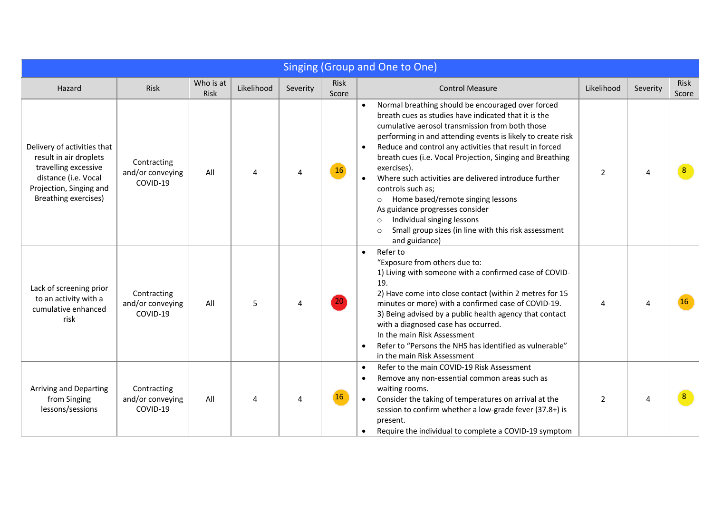| Singing (Group and One to One)                                                                                                                           |                                             |                   |            |          |               |                                                                                                                                                                                                                                                                                                                                                                                                                                                                                                                                                                                                                                                                  |            |          |                |  |
|----------------------------------------------------------------------------------------------------------------------------------------------------------|---------------------------------------------|-------------------|------------|----------|---------------|------------------------------------------------------------------------------------------------------------------------------------------------------------------------------------------------------------------------------------------------------------------------------------------------------------------------------------------------------------------------------------------------------------------------------------------------------------------------------------------------------------------------------------------------------------------------------------------------------------------------------------------------------------------|------------|----------|----------------|--|
| Hazard                                                                                                                                                   | Risk                                        | Who is at<br>Risk | Likelihood | Severity | Risk<br>Score | <b>Control Measure</b>                                                                                                                                                                                                                                                                                                                                                                                                                                                                                                                                                                                                                                           | Likelihood | Severity | Risk<br>Score  |  |
| Delivery of activities that<br>result in air droplets<br>travelling excessive<br>distance (i.e. Vocal<br>Projection, Singing and<br>Breathing exercises) | Contracting<br>and/or conveying<br>COVID-19 | All               | 4          | Δ        | 16            | Normal breathing should be encouraged over forced<br>breath cues as studies have indicated that it is the<br>cumulative aerosol transmission from both those<br>performing in and attending events is likely to create risk<br>Reduce and control any activities that result in forced<br>breath cues (i.e. Vocal Projection, Singing and Breathing<br>exercises).<br>Where such activities are delivered introduce further<br>controls such as;<br>Home based/remote singing lessons<br>$\circ$<br>As guidance progresses consider<br>Individual singing lessons<br>$\circ$<br>Small group sizes (in line with this risk assessment<br>$\circ$<br>and guidance) | 2          | Δ        | 8 <sup>°</sup> |  |
| Lack of screening prior<br>to an activity with a<br>cumulative enhanced<br>risk                                                                          | Contracting<br>and/or conveying<br>COVID-19 | All               | 5          |          | 20            | Refer to<br>$\bullet$<br>"Exposure from others due to:<br>1) Living with someone with a confirmed case of COVID-<br>19.<br>2) Have come into close contact (within 2 metres for 15<br>minutes or more) with a confirmed case of COVID-19.<br>3) Being advised by a public health agency that contact<br>with a diagnosed case has occurred.<br>In the main Risk Assessment<br>Refer to "Persons the NHS has identified as vulnerable"<br>in the main Risk Assessment                                                                                                                                                                                             | 4          | Δ        | <b>16</b>      |  |
| Arriving and Departing<br>from Singing<br>lessons/sessions                                                                                               | Contracting<br>and/or conveying<br>COVID-19 | All               | Δ          |          | 16            | Refer to the main COVID-19 Risk Assessment<br>Remove any non-essential common areas such as<br>waiting rooms.<br>Consider the taking of temperatures on arrival at the<br>session to confirm whether a low-grade fever (37.8+) is<br>present.<br>Require the individual to complete a COVID-19 symptom                                                                                                                                                                                                                                                                                                                                                           | 2          | Δ        | 8              |  |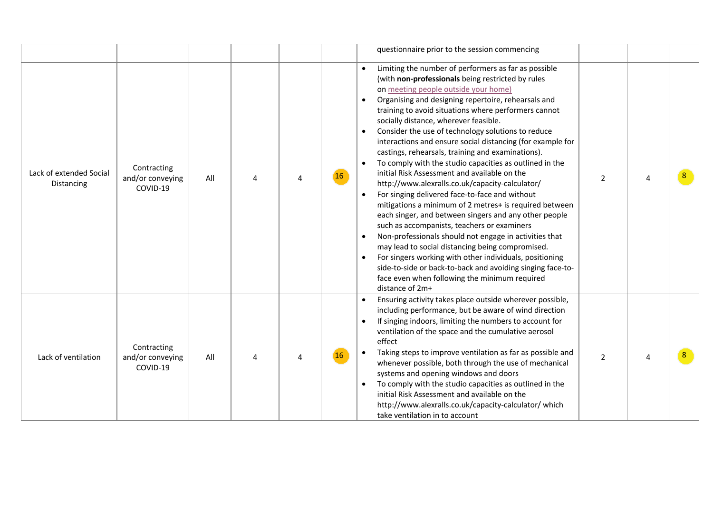|                                       |                                             |     |  |    | questionnaire prior to the session commencing                                                                                                                                                                                                                                                                                                                                                                                                                                                                                                                                                                                                                                                                                                                                                                                                                                                                                                                                                                                                                                                                                                                                   |                |   |                |
|---------------------------------------|---------------------------------------------|-----|--|----|---------------------------------------------------------------------------------------------------------------------------------------------------------------------------------------------------------------------------------------------------------------------------------------------------------------------------------------------------------------------------------------------------------------------------------------------------------------------------------------------------------------------------------------------------------------------------------------------------------------------------------------------------------------------------------------------------------------------------------------------------------------------------------------------------------------------------------------------------------------------------------------------------------------------------------------------------------------------------------------------------------------------------------------------------------------------------------------------------------------------------------------------------------------------------------|----------------|---|----------------|
| Lack of extended Social<br>Distancing | Contracting<br>and/or conveying<br>COVID-19 | All |  | 16 | Limiting the number of performers as far as possible<br>(with non-professionals being restricted by rules<br>on meeting people outside your home)<br>Organising and designing repertoire, rehearsals and<br>training to avoid situations where performers cannot<br>socially distance, wherever feasible.<br>Consider the use of technology solutions to reduce<br>interactions and ensure social distancing (for example for<br>castings, rehearsals, training and examinations).<br>To comply with the studio capacities as outlined in the<br>initial Risk Assessment and available on the<br>http://www.alexralls.co.uk/capacity-calculator/<br>For singing delivered face-to-face and without<br>mitigations a minimum of 2 metres+ is required between<br>each singer, and between singers and any other people<br>such as accompanists, teachers or examiners<br>Non-professionals should not engage in activities that<br>may lead to social distancing being compromised.<br>For singers working with other individuals, positioning<br>side-to-side or back-to-back and avoiding singing face-to-<br>face even when following the minimum required<br>distance of 2m+ | $\overline{2}$ |   | $8^{\circ}$    |
| Lack of ventilation                   | Contracting<br>and/or conveying<br>COVID-19 | All |  | 16 | Ensuring activity takes place outside wherever possible,<br>including performance, but be aware of wind direction<br>If singing indoors, limiting the numbers to account for<br>ventilation of the space and the cumulative aerosol<br>effect<br>Taking steps to improve ventilation as far as possible and<br>whenever possible, both through the use of mechanical<br>systems and opening windows and doors<br>To comply with the studio capacities as outlined in the<br>initial Risk Assessment and available on the<br>http://www.alexralls.co.uk/capacity-calculator/ which<br>take ventilation in to account                                                                                                                                                                                                                                                                                                                                                                                                                                                                                                                                                             | $\overline{2}$ | Δ | 8 <sup>°</sup> |